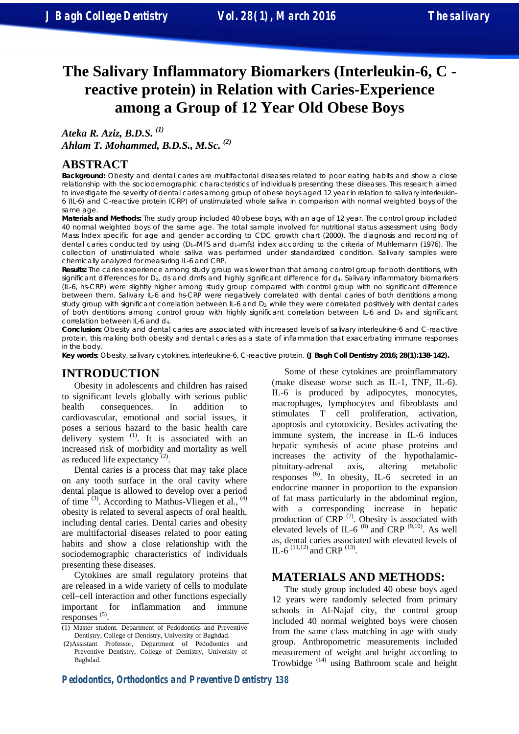# **The Salivary Inflammatory Biomarkers (Interleukin-6, C reactive protein) in Relation with Caries-Experience among a Group of 12 Year Old Obese Boys**

*Ateka R. Aziz, B.D.S. (1) Ahlam T. Mohammed, B.D.S., M.Sc. (2)* 

## **ABSTRACT**

**Background:** Obesity and dental caries are multifactorial diseases related to poor eating habits and show a close relationship with the sociodemographic characteristics of individuals presenting these diseases. This research aimed to investigate the severity of dental caries among group of obese boys aged 12 year in relation to salivary interleukin-6 (IL-6) and C-reactive protein (CRP) of unstimulated whole saliva in comparison with normal weighted boys of the same age.

**Materials and Methods:** The study group included 40 obese boys, with an age of 12 year. The control group included 40 normal weighted boys of the same age. The total sample involved for nutritional status assessment using Body Mass Index specific for age and gender according to CDC growth chart (2000). The diagnosis and recording of dental caries conducted by using (D1-4MFS and d1-4mfs) index according to the criteria of Muhlemann (1976). The collection of unstimulated whole saliva was performed under standardized condition. Salivary samples were chemically analyzed for measuring IL-6 and CRP.

**Results:** The caries experience among study group was lower than that among control group for both dentitions, with significant differences for  $D_2$ , ds and dmfs and highly significant difference for  $d_4$ . Salivary inflammatory biomarkers (IL-6, hs-CRP) were slightly higher among study group compared with control group with no significant difference between them. Salivary IL-6 and hs-CRP were negatively correlated with dental caries of both dentitions among study group with significant correlation between IL-6 and D<sub>2</sub>, while they were correlated positively with dental caries of both dentitions among control group with highly significant correlation between IL-6 and D<sub>3</sub> and significant correlation between IL-6 and d<sub>4</sub>.

**Conclusion:** Obesity and dental caries are associated with increased levels of salivary interleukine-6 and C-reactive protein, this making both obesity and dental caries as a state of inflammation that exacerbating immune responses in the body.

**Key words**: Obesity, salivary cytokines, interleukine-6, C-reactive protein. **(J Bagh Coll Dentistry 2016; 28(1):138-142).**

### **INTRODUCTION**

Obesity in adolescents and children has raised to significant levels globally with serious public health consequences. In addition to cardiovascular, emotional and social issues, it poses a serious hazard to the basic health care delivery system  $(1)$ . It is associated with an increased risk of morbidity and mortality as well as reduced life expectancy<sup> $(2)$ </sup>.

Dental caries is a process that may take place on any tooth surface in the oral cavity where dental plaque is allowed to develop over a period of time  $^{(3)}$ . According to Mathus-Vliegen et al.,  $^{(4)}$ obesity is related to several aspects of oral health, including dental caries. Dental caries and obesity are multifactorial diseases related to poor eating habits and show a close relationship with the sociodemographic characteristics of individuals presenting these diseases.

Cytokines are small regulatory proteins that are released in a wide variety of cells to modulate cell–cell interaction and other functions especially important for inflammation and immune  $resposes$ <sup>(5)</sup>.

Some of these cytokines are proinflammatory (make disease worse such as IL-1, TNF, IL-6). IL-6 is produced by adipocytes, monocytes, macrophages, lymphocytes and fibroblasts and stimulates T cell proliferation, activation, apoptosis and cytotoxicity. Besides activating the immune system, the increase in IL-6 induces hepatic synthesis of acute phase proteins and increases the activity of the hypothalamicpituitary-adrenal axis, altering metabolic responses  $^{(6)}$ . In obesity, IL-6 secreted in an endocrine manner in proportion to the expansion of fat mass particularly in the abdominal region, with a corresponding increase in hepatic production of  $CRP$ <sup> $(7)$ </sup>. Obesity is associated with elevated levels of IL-6<sup> $(8)$ </sup> and CRP<sup> $(9,10)$ </sup>. As well as, dental caries associated with elevated levels of IL-6<sup> $(11,12)$ </sup> and CRP<sup> $(13)$ </sup>.

# **MATERIALS AND METHODS:**

The study group included 40 obese boys aged 12 years were randomly selected from primary schools in Al-Najaf city, the control group included 40 normal weighted boys were chosen from the same class matching in age with study group. Anthropometric measurements included measurement of weight and height according to Trowbidge<sup>(14)</sup> using Bathroom scale and height

<sup>(1)</sup> Master student. Department of Pedodontics and Preventive Dentistry, College of Dentistry, University of Baghdad.

 <sup>(2)</sup>Assistant Professor, Department of Pedodontics and Preventive Dentistry, College of Dentistry, University of Baghdad.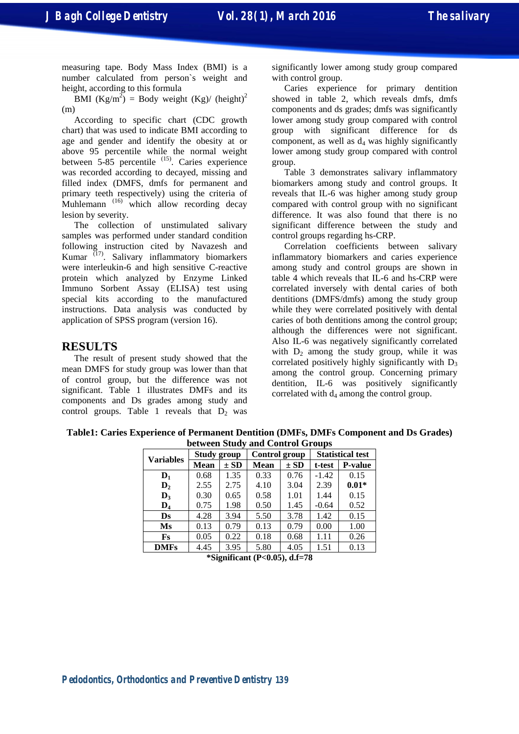measuring tape. Body Mass Index (BMI) is a number calculated from person`s weight and height, according to this formula

BMI  $(Kg/m^2)$  = Body weight  $(Kg)/$  (height)<sup>2</sup> (m)

According to specific chart (CDC growth chart) that was used to indicate BMI according to age and gender and identify the obesity at or above 95 percentile while the normal weight between 5-85 percentile <sup>(15)</sup>. Caries experience was recorded according to decayed, missing and filled index (DMFS, dmfs for permanent and primary teeth respectively) using the criteria of Muhlemann<sup>(16)</sup> which allow recording decay lesion by severity.

The collection of unstimulated salivary samples was performed under standard condition following instruction cited by Navazesh and Kumar  $(17)$ . Salivary inflammatory biomarkers were interleukin-6 and high sensitive C-reactive protein which analyzed by Enzyme Linked Immuno Sorbent Assay (ELISA) test using special kits according to the manufactured instructions. Data analysis was conducted by application of SPSS program (version 16).

# **RESULTS**

The result of present study showed that the mean DMFS for study group was lower than that of control group, but the difference was not significant. Table 1 illustrates DMFs and its components and Ds grades among study and control groups. Table 1 reveals that  $D_2$  was

significantly lower among study group compared with control group.

Caries experience for primary dentition showed in table 2, which reveals dmfs, dmfs components and ds grades; dmfs was significantly lower among study group compared with control group with significant difference for ds component, as well as  $d_4$  was highly significantly lower among study group compared with control group.

Table 3 demonstrates salivary inflammatory biomarkers among study and control groups. It reveals that IL-6 was higher among study group compared with control group with no significant difference. It was also found that there is no significant difference between the study and control groups regarding hs-CRP.

Correlation coefficients between salivary inflammatory biomarkers and caries experience among study and control groups are shown in table 4 which reveals that IL-6 and hs-CRP were correlated inversely with dental caries of both dentitions (DMFS/dmfs) among the study group while they were correlated positively with dental caries of both dentitions among the control group; although the differences were not significant. Also IL-6 was negatively significantly correlated with  $D_2$  among the study group, while it was correlated positively highly significantly with  $D_3$ among the control group. Concerning primary dentition, IL-6 was positively significantly correlated with  $d_4$  among the control group.

**Table1: Caries Experience of Permanent Dentition (DMFs, DMFs Component and Ds Grades) between Study and Control Groups** 

| $\frac{1}{2}$    |                    |          |               |          |                         |                |  |  |  |  |
|------------------|--------------------|----------|---------------|----------|-------------------------|----------------|--|--|--|--|
| <b>Variables</b> | <b>Study group</b> |          | Control group |          | <b>Statistical test</b> |                |  |  |  |  |
|                  | Mean               | $\pm SD$ | Mean          | $\pm SD$ | t-test                  | <b>P-value</b> |  |  |  |  |
| $D_1$            | 0.68               | 1.35     | 0.33          | 0.76     | $-1.42$                 | 0.15           |  |  |  |  |
| $\mathbf{D}_2$   | 2.55               | 2.75     | 4.10          | 3.04     | 2.39                    | $0.01*$        |  |  |  |  |
| $D_3$            | 0.30               | 0.65     | 0.58          | 1.01     | 1.44                    | 0.15           |  |  |  |  |
| $\mathbf{D}_4$   | 0.75               | 1.98     | 0.50          | 1.45     | $-0.64$                 | 0.52           |  |  |  |  |
| Ds               | 4.28               | 3.94     | 5.50          | 3.78     | 1.42                    | 0.15           |  |  |  |  |
| Ms               | 0.13               | 0.79     | 0.13          | 0.79     | 0.00                    | 1.00           |  |  |  |  |
| Fs               | 0.05               | 0.22     | 0.18          | 0.68     | 1.11                    | 0.26           |  |  |  |  |
| <b>DMFs</b>      | 4.45               | 3.95     | 5.80          | 4.05     | 1.51                    | 0.13           |  |  |  |  |

**\*Significant (P<0.05), d.f=78**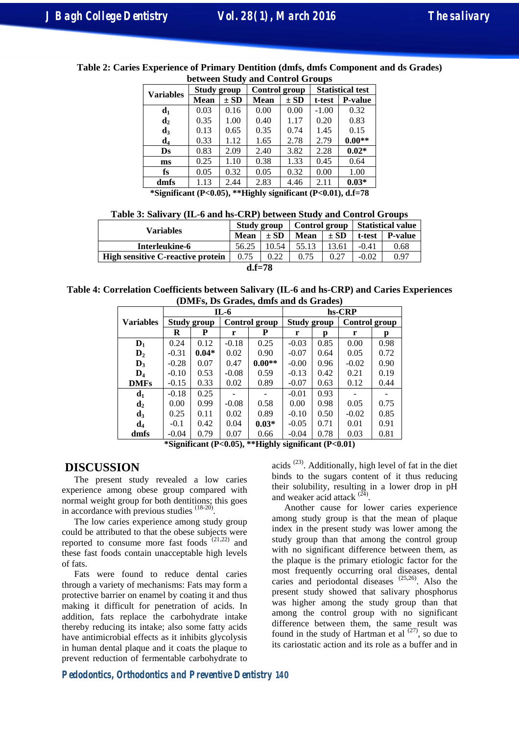| $\sigma$ of $\sigma$ order $\sigma$ and $\sigma$ onthe order $\sigma$ |                    |          |               |          |                         |                |  |  |  |
|-----------------------------------------------------------------------|--------------------|----------|---------------|----------|-------------------------|----------------|--|--|--|
| <b>Variables</b>                                                      | <b>Study group</b> |          | Control group |          | <b>Statistical test</b> |                |  |  |  |
|                                                                       | <b>Mean</b>        | $\pm$ SD | <b>Mean</b>   | $\pm$ SD | t-test                  | <b>P-value</b> |  |  |  |
| $\mathbf{d}_1$                                                        | 0.03               | 0.16     | 0.00          | 0.00     | $-1.00$                 | 0.32           |  |  |  |
| $\mathbf{d}_2$                                                        | 0.35               | 1.00     | 0.40          | 1.17     | 0.20                    | 0.83           |  |  |  |
| $d_3$                                                                 | 0.13               | 0.65     | 0.35          | 0.74     | 1.45                    | 0.15           |  |  |  |
| $\mathbf{d}_4$                                                        | 0.33               | 1.12     | 1.65          | 2.78     | 2.79                    | $0.00**$       |  |  |  |
| Ds                                                                    | 0.83               | 2.09     | 2.40          | 3.82     | 2.28                    | $0.02*$        |  |  |  |
| ms                                                                    | 0.25               | 1.10     | 0.38          | 1.33     | 0.45                    | 0.64           |  |  |  |
| fs                                                                    | 0.05               | 0.32     | 0.05          | 0.32     | 0.00                    | 1.00           |  |  |  |
| dmfs                                                                  | 1.13               | 2.44     | 2.83          | 4.46     | 2.11                    | $0.03*$        |  |  |  |

**Table 2: Caries Experience of Primary Dentition (dmfs, dmfs Component and ds Grades) between Study and Control Groups** 

**\*Significant (P<0.05), \*\*Highly significant (P<0.01), d.f=78** 

|  | Table 3: Salivary (IL-6 and hs-CRP) between Study and Control Groups |  |  |  |  |  |
|--|----------------------------------------------------------------------|--|--|--|--|--|
|  |                                                                      |  |  |  |  |  |

| Variables                                | Study group |          | Control group |          | Statistical value |                |  |  |
|------------------------------------------|-------------|----------|---------------|----------|-------------------|----------------|--|--|
|                                          | Mean        | $\pm$ SD | Mean          | $\pm SD$ | t-test            | <b>P-value</b> |  |  |
| Interleukine-6                           | 56.25       | 10.54    | 55.13         | 13.61    | -0.41             | 0.68           |  |  |
| <b>High sensitive C-reactive protein</b> | 0.75        | 0.22     | 0.75          | 0.27     | $-0.02$           | 0.97           |  |  |
| $d.f = 78$                               |             |          |               |          |                   |                |  |  |

**Table 4: Correlation Coefficients between Salivary (IL-6 and hs-CRP) and Caries Experiences (DMFs, Ds Grades, dmfs and ds Grades)** 

|                  |                    |         | $IL-6$  |               | hs-CRP             |      |         |               |  |
|------------------|--------------------|---------|---------|---------------|--------------------|------|---------|---------------|--|
| <b>Variables</b> | <b>Study group</b> |         |         | Control group | <b>Study group</b> |      |         | Control group |  |
|                  | R                  | P       | r       | P             | r                  | D    | r       | D             |  |
| $D_1$            | 0.24               | 0.12    | $-0.18$ | 0.25          | $-0.03$            | 0.85 | 0.00    | 0.98          |  |
| $\mathbf{D}_2$   | $-0.31$            | $0.04*$ | 0.02    | 0.90          | $-0.07$            | 0.64 | 0.05    | 0.72          |  |
| $\mathbf{D}_3$   | $-0.28$            | 0.07    | 0.47    | $0.00**$      | $-0.00$            | 0.96 | $-0.02$ | 0.90          |  |
| $\mathbf{D}_4$   | $-0.10$            | 0.53    | $-0.08$ | 0.59          | $-0.13$            | 0.42 | 0.21    | 0.19          |  |
| <b>DMFs</b>      | $-0.15$            | 0.33    | 0.02    | 0.89          | $-0.07$            | 0.63 | 0.12    | 0.44          |  |
| $\mathbf{d}_1$   | $-0.18$            | 0.25    |         |               | $-0.01$            | 0.93 |         |               |  |
| d <sub>2</sub>   | 0.00               | 0.99    | $-0.08$ | 0.58          | 0.00               | 0.98 | 0.05    | 0.75          |  |
| $d_3$            | 0.25               | 0.11    | 0.02    | 0.89          | $-0.10$            | 0.50 | $-0.02$ | 0.85          |  |
| $\mathbf{d}_4$   | $-0.1$             | 0.42    | 0.04    | $0.03*$       | $-0.05$            | 0.71 | 0.01    | 0.91          |  |
| dmfs             | $-0.04$            | 0.79    | 0.07    | 0.66          | $-0.04$            | 0.78 | 0.03    | 0.81          |  |

 **\*Significant (P<0.05), \*\*Highly significant (P<0.01)**

#### **DISCUSSION**

The present study revealed a low caries experience among obese group compared with normal weight group for both dentitions; this goes in accordance with previous studies  $(18-20)$ .

The low caries experience among study group could be attributed to that the obese subjects were reported to consume more fast foods  $(21,22)$  and these fast foods contain unacceptable high levels of fats.

Fats were found to reduce dental caries through a variety of mechanisms: Fats may form a protective barrier on enamel by coating it and thus making it difficult for penetration of acids. In addition, fats replace the carbohydrate intake thereby reducing its intake; also some fatty acids have antimicrobial effects as it inhibits glycolysis in human dental plaque and it coats the plaque to prevent reduction of fermentable carbohydrate to

acids  $(23)$ . Additionally, high level of fat in the diet binds to the sugars content of it thus reducing their solubility, resulting in a lower drop in pH and weaker acid attack  $(24)$ .

Another cause for lower caries experience among study group is that the mean of plaque index in the present study was lower among the study group than that among the control group with no significant difference between them, as the plaque is the primary etiologic factor for the most frequently occurring oral diseases, dental caries and periodontal diseases <sup>(25,26)</sup>. Also the present study showed that salivary phosphorus was higher among the study group than that among the control group with no significant difference between them, the same result was found in the study of Hartman et al  $(27)$ , so due to its cariostatic action and its role as a buffer and in

**Pedodontics, Orthodontics and Preventive Dentistry 140**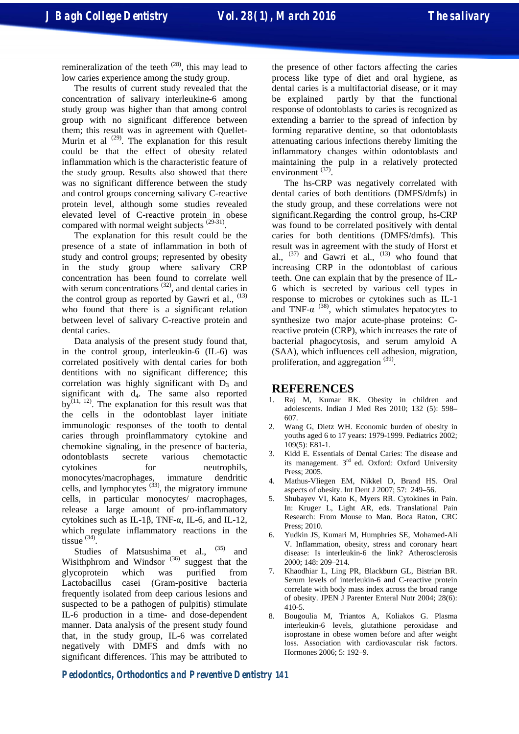remineralization of the teeth  $(28)$ , this may lead to low caries experience among the study group.

The results of current study revealed that the concentration of salivary interleukine-6 among study group was higher than that among control group with no significant difference between them; this result was in agreement with Quellet-Murin et al  $^{(29)}$ . The explanation for this result could be that the effect of obesity related inflammation which is the characteristic feature of the study group. Results also showed that there was no significant difference between the study and control groups concerning salivary C-reactive protein level, although some studies revealed elevated level of C-reactive protein in obese compared with normal weight subjects  $^{(29-31)}$ .

The explanation for this result could be the presence of a state of inflammation in both of study and control groups; represented by obesity in the study group where salivary CRP concentration has been found to correlate well with serum concentrations  $(32)$ , and dental caries in the control group as reported by Gawri et al.,  $(13)$ who found that there is a significant relation between level of salivary C-reactive protein and dental caries.

Data analysis of the present study found that, in the control group, interleukin-6 (IL-6) was correlated positively with dental caries for both dentitions with no significant difference; this correlation was highly significant with  $D_3$  and significant with  $d_4$ . The same also reported by $^{(11, 12)}$ . The explanation for this result was that the cells in the odontoblast layer initiate immunologic responses of the tooth to dental caries through proinflammatory cytokine and chemokine signaling, in the presence of bacteria, odontoblasts secrete various chemotactic cytokines for neutrophils, monocytes/macrophages, immature dendritic cells, and lymphocytes  $(33)$ , the migratory immune cells, in particular monocytes/ macrophages, release a large amount of pro-inflammatory cytokines such as IL-1β, TNF-α, IL-6, and IL-12, which regulate inflammatory reactions in the tissue  $^{(34)}$ .

Studies of Matsushima et al.,  $(35)$  and Wisithphrom and Windsor  $(36)$  suggest that the glycoprotein which was purified from Lactobacillus casei (Gram-positive bacteria frequently isolated from deep carious lesions and suspected to be a pathogen of pulpitis) stimulate IL-6 production in a time- and dose-dependent manner. Data analysis of the present study found that, in the study group, IL-6 was correlated negatively with DMFS and dmfs with no significant differences. This may be attributed to

the presence of other factors affecting the caries process like type of diet and oral hygiene, as dental caries is a multifactorial disease, or it may be explained partly by that the functional response of odontoblasts to caries is recognized as extending a barrier to the spread of infection by forming reparative dentine, so that odontoblasts attenuating carious infections thereby limiting the inflammatory changes within odontoblasts and maintaining the pulp in a relatively protected environment  $^{(37)}$ .

The hs-CRP was negatively correlated with dental caries of both dentitions (DMFS/dmfs) in the study group, and these correlations were not significant.Regarding the control group, hs-CRP was found to be correlated positively with dental caries for both dentitions (DMFS/dmfs). This result was in agreement with the study of Horst et al.,  $^{(37)}$  and Gawri et al.,  $^{(13)}$  who found that increasing CRP in the odontoblast of carious teeth. One can explain that by the presence of IL-6 which is secreted by various cell types in response to microbes or cytokines such as IL-1 and TNF- $\alpha$ <sup>(38)</sup>, which stimulates hepatocytes to synthesize two major acute-phase proteins: Creactive protein (CRP), which increases the rate of bacterial phagocytosis, and serum amyloid A (SAA), which influences cell adhesion, migration, proliferation, and aggregation<sup>(39)</sup>.

#### **REFERENCES**

- 1. Raj M, Kumar RK. Obesity in children and adolescents. Indian J Med Res 2010; 132 (5): 598– 607.
- 2. Wang G, Dietz WH. Economic burden of obesity in youths aged 6 to 17 years: 1979-1999. Pediatrics 2002; 109(5): E81-1.
- 3. Kidd E. Essentials of Dental Caries: The disease and its management. 3<sup>rd</sup> ed. Oxford: Oxford University Press; 2005.
- 4. Mathus-Vliegen EM, Nikkel D, Brand HS. Oral aspects of obesity. Int Dent J 2007; 57: 249–56.
- 5. Shubayev VI, Kato K, Myers RR. Cytokines in Pain. In: Kruger L, Light AR, eds. Translational Pain Research: From Mouse to Man. Boca Raton, CRC Press; 2010.
- 6. Yudkin JS, Kumari M, Humphries SE, Mohamed-Ali V. Inflammation, obesity, stress and coronary heart disease: Is interleukin-6 the link? Atherosclerosis 2000; 148: 209–214.
- 7. Khaodhiar L, Ling PR, Blackburn GL, Bistrian BR. Serum levels of interleukin-6 and C-reactive protein correlate with body mass index across the broad range of obesity. JPEN J Parenter Enteral Nutr 2004; 28(6): 410-5.
- 8. Bougoulia M, Triantos A, Koliakos G. Plasma interleukin-6 levels, glutathione peroxidase and isoprostane in obese women before and after weight loss. Association with cardiovascular risk factors. Hormones 2006; 5: 192–9.

**Pedodontics, Orthodontics and Preventive Dentistry 141**